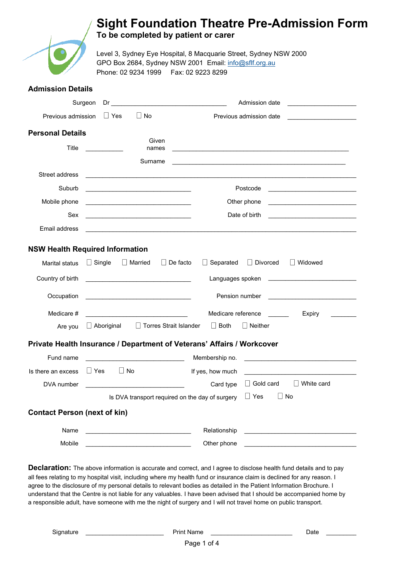### **Sight Foundation Theatre Pre-Admission Form**



**Admission Details**

**To be completed by patient or carer** 

Level 3, Sydney Eye Hospital, 8 Macquarie Street, Sydney NSW 2000 GPO Box 2684, Sydney NSW 2001 Email: [info@sflf.org.au](mailto:info@sflf.org.au) Phone: 02 9234 1999 Fax: 02 9223 8299

|                                     | Surgeon<br>Dr                                                                                                         | Admission date<br><u> 1990 - Johann Barbara, martin a</u>                                                                              |
|-------------------------------------|-----------------------------------------------------------------------------------------------------------------------|----------------------------------------------------------------------------------------------------------------------------------------|
| Previous admission                  | $\Box$ No<br>$\sqcup$ Yes                                                                                             | Previous admission date                                                                                                                |
| <b>Personal Details</b>             |                                                                                                                       |                                                                                                                                        |
|                                     | Given                                                                                                                 |                                                                                                                                        |
| Title                               | names                                                                                                                 | <u> 1989 - Johann Stoff, amerikansk politiker (d. 1989)</u>                                                                            |
|                                     | Surname                                                                                                               |                                                                                                                                        |
| Street address                      |                                                                                                                       |                                                                                                                                        |
| Suburb                              | <u> 1989 - Johann John Stone, mars et al. (</u>                                                                       | Postcode<br>the control of the control of the control of the control of the control of the control of                                  |
| Mobile phone                        |                                                                                                                       | Other phone                                                                                                                            |
| Sex                                 | <u> 1980 - Jan Barbara Barbara, manazarta da kasas da kasas da kasas da kasas da kasas da kasas da kasas da kasa</u>  | Date of birth                                                                                                                          |
| Email address                       |                                                                                                                       |                                                                                                                                        |
| Marital status                      | <b>NSW Health Required Information</b><br>$\Box$ Married<br>$\Box$ Single                                             | $\Box$ De facto<br>$\Box$ Separated<br>$\Box$ Divorced<br>$\Box$ Widowed                                                               |
| Country of birth                    |                                                                                                                       |                                                                                                                                        |
|                                     |                                                                                                                       |                                                                                                                                        |
| Occupation                          | <u> 1989 - Johann Barbara, martin amerikan basal dan berasal dalam basal dalam basal dalam basal dalam basal dala</u> | Pension number<br><u> 1986 - Johann Barbara, martin amerikan p</u>                                                                     |
| Medicare #                          |                                                                                                                       | Medicare reference<br>Expiry                                                                                                           |
| Are you                             | $\Box$ Torres Strait Islander<br>$\Box$ Aboriginal                                                                    | $\Box$ Both<br>$\Box$ Neither                                                                                                          |
|                                     |                                                                                                                       | Private Health Insurance / Department of Veterans' Affairs / Workcover                                                                 |
| Fund name                           |                                                                                                                       | Membership no.<br><u> Alexandria de la contrada de la contrada de la contrada de la contrada de la contrada de la contrada de la c</u> |
| Is there an excess                  | $\Box$ Yes<br>$\Box$ No                                                                                               | If yes, how much                                                                                                                       |
| DVA number                          |                                                                                                                       | $\Box$ Gold card<br>$\Box$ White card<br>Card type                                                                                     |
|                                     |                                                                                                                       | Is DVA transport required on the day of surgery $\Box$ Yes $\Box$ No                                                                   |
| <b>Contact Person (next of kin)</b> |                                                                                                                       |                                                                                                                                        |
| Name                                | <u> 1989 - Johann Barbara, martxa alemaniar a</u>                                                                     | Relationship<br>the contract of the contract of the contract of                                                                        |
| Mobile                              |                                                                                                                       | Other phone                                                                                                                            |

**Declaration:** The above information is accurate and correct, and I agree to disclose health fund details and to pay all fees relating to my hospital visit, including where my health fund or insurance claim is declined for any reason. I agree to the disclosure of my personal details to relevant bodies as detailed in the Patient Information Brochure. I understand that the Centre is not liable for any valuables. I have been advised that I should be accompanied home by a responsible adult, have someone with me the night of surgery and I will not travel home on public transport.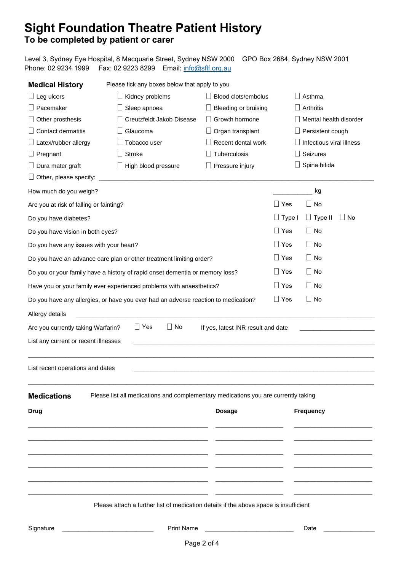# **Sight Foundation Theatre Patient History**

#### **To be completed by patient or carer**

| Phone: 02 9234 1999                                                          | Level 3, Sydney Eye Hospital, 8 Macquarie Street, Sydney NSW 2000<br>Fax: 02 9223 8299<br>Email: info@sflf.org.au     |                                    |               | GPO Box 2684, Sydney NSW 2001   |
|------------------------------------------------------------------------------|-----------------------------------------------------------------------------------------------------------------------|------------------------------------|---------------|---------------------------------|
| <b>Medical History</b>                                                       | Please tick any boxes below that apply to you                                                                         |                                    |               |                                 |
| $\Box$ Leg ulcers                                                            | $\Box$ Kidney problems                                                                                                | Blood clots/embolus                |               | $\Box$ Asthma                   |
| $\Box$ Pacemaker                                                             | $\Box$ Sleep apnoea                                                                                                   | $\Box$ Bleeding or bruising        |               | $\Box$ Arthritis                |
| Other prosthesis                                                             | $\Box$ Creutzfeldt Jakob Disease                                                                                      | $\Box$ Growth hormone              |               | $\Box$ Mental health disorder   |
| Contact dermatitis                                                           | $\Box$ Glaucoma                                                                                                       | $\Box$ Organ transplant            |               | $\Box$ Persistent cough         |
| $\Box$ Latex/rubber allergy                                                  | $\Box$ Tobacco user                                                                                                   | $\Box$ Recent dental work          |               | $\Box$ Infectious viral illness |
| $\Box$ Pregnant                                                              | $\Box$ Stroke                                                                                                         | Tuberculosis                       |               | $\Box$ Seizures                 |
| Dura mater graft                                                             | $\Box$ High blood pressure                                                                                            | Pressure injury<br>$\perp$         |               | $\Box$ Spina bifida             |
| $\Box$ Other, please specify:                                                | <u> 1980 - Jan James James, martin amerikan basar dan bagi dan bagi dalam basar dan bagi dalam bagi dalam bagi da</u> |                                    |               |                                 |
| How much do you weigh?                                                       |                                                                                                                       |                                    |               | kg                              |
| Are you at risk of falling or fainting?                                      |                                                                                                                       |                                    | $\Box$ Yes    | $\Box$ No                       |
| Do you have diabetes?                                                        |                                                                                                                       |                                    | $\Box$ Type I | $\Box$ Type II<br>$\Box$ No     |
| Do you have vision in both eyes?                                             |                                                                                                                       |                                    | $\Box$ Yes    | $\Box$ No                       |
| Do you have any issues with your heart?                                      |                                                                                                                       |                                    | $\Box$ Yes    | $\Box$ No                       |
| Do you have an advance care plan or other treatment limiting order?          |                                                                                                                       |                                    | $\Box$ Yes    | $\Box$ No                       |
| Do you or your family have a history of rapid onset dementia or memory loss? |                                                                                                                       |                                    | $\Box$ Yes    | $\Box$ No                       |
| Have you or your family ever experienced problems with anaesthetics?         |                                                                                                                       |                                    | $\Box$ Yes    | $\Box$ No                       |
|                                                                              | Do you have any allergies, or have you ever had an adverse reaction to medication?                                    |                                    | $\Box$ Yes    | $\Box$ No                       |
| Allergy details                                                              |                                                                                                                       |                                    |               |                                 |
| Are you currently taking Warfarin?                                           | $\Box$ Yes<br>$\Box$ No                                                                                               | If yes, latest INR result and date |               |                                 |
| List any current or recent illnesses                                         |                                                                                                                       |                                    |               |                                 |
| List recent operations and dates                                             |                                                                                                                       |                                    |               |                                 |
| <b>Medications</b>                                                           | Please list all medications and complementary medications you are currently taking                                    |                                    |               |                                 |
| <b>Drug</b>                                                                  |                                                                                                                       | <b>Dosage</b>                      |               | <b>Frequency</b>                |
|                                                                              |                                                                                                                       |                                    |               |                                 |
|                                                                              |                                                                                                                       |                                    |               |                                 |
|                                                                              |                                                                                                                       |                                    |               |                                 |

Please attach a further list of medication details if the above space is insufficient

 $\_$  ,  $\_$  ,  $\_$  ,  $\_$  ,  $\_$  ,  $\_$  ,  $\_$  ,  $\_$  ,  $\_$  ,  $\_$  ,  $\_$  ,  $\_$  ,  $\_$  ,  $\_$  ,  $\_$  ,  $\_$  ,  $\_$  ,  $\_$  ,  $\_$  ,  $\_$  ,  $\_$  ,  $\_$  ,  $\_$  ,  $\_$  ,  $\_$  ,  $\_$  ,  $\_$  ,  $\_$  ,  $\_$  ,  $\_$  ,  $\_$  ,  $\_$  ,  $\_$  ,  $\_$  ,  $\_$  ,  $\_$  ,  $\_$  ,

 $\mathsf{Signature}$   $\begin{array}{|l|} \hline \text{Signature} \end{array}$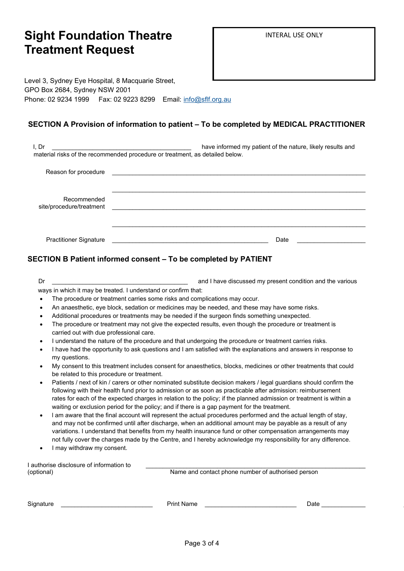## **Sight Foundation Theatre Treatment Request**

Level 3, Sydney Eye Hospital, 8 Macquarie Street, GPO Box 2684, Sydney NSW 2001 Phone: 02 9234 1999 Fax: 02 9223 8299 Email: [info@sflf.org.au](mailto:info@sightfoundationtheatre.org.au)

#### **SECTION A Provision of information to patient – To be completed by MEDICAL PRACTITIONER**

| I, Dr                                   | have informed my patient of the nature, likely results and                                              |
|-----------------------------------------|---------------------------------------------------------------------------------------------------------|
|                                         | material risks of the recommended procedure or treatment, as detailed below.                            |
| Reason for procedure                    |                                                                                                         |
| Recommended<br>site/procedure/treatment |                                                                                                         |
| <b>Practitioner Signature</b>           | Date<br>the contract of the contract of the contract of the contract of the contract of the contract of |

#### **SECTION B Patient informed consent – To be completed by PATIENT**

| Dr         |                                                                                                                                  | and I have discussed my present condition and the various                                                                                                                                                                                                                                                                                                                                                                                                       |  |  |
|------------|----------------------------------------------------------------------------------------------------------------------------------|-----------------------------------------------------------------------------------------------------------------------------------------------------------------------------------------------------------------------------------------------------------------------------------------------------------------------------------------------------------------------------------------------------------------------------------------------------------------|--|--|
|            | ways in which it may be treated. I understand or confirm that:                                                                   |                                                                                                                                                                                                                                                                                                                                                                                                                                                                 |  |  |
|            |                                                                                                                                  | The procedure or treatment carries some risks and complications may occur.                                                                                                                                                                                                                                                                                                                                                                                      |  |  |
| $\bullet$  |                                                                                                                                  | An anaesthetic, eye block, sedation or medicines may be needed, and these may have some risks.                                                                                                                                                                                                                                                                                                                                                                  |  |  |
| $\bullet$  |                                                                                                                                  | Additional procedures or treatments may be needed if the surgeon finds something unexpected.                                                                                                                                                                                                                                                                                                                                                                    |  |  |
|            | carried out with due professional care.                                                                                          | The procedure or treatment may not give the expected results, even though the procedure or treatment is                                                                                                                                                                                                                                                                                                                                                         |  |  |
|            |                                                                                                                                  | I understand the nature of the procedure and that undergoing the procedure or treatment carries risks.                                                                                                                                                                                                                                                                                                                                                          |  |  |
|            | I have had the opportunity to ask questions and I am satisfied with the explanations and answers in response to<br>my questions. |                                                                                                                                                                                                                                                                                                                                                                                                                                                                 |  |  |
|            | be related to this procedure or treatment.                                                                                       | My consent to this treatment includes consent for anaesthetics, blocks, medicines or other treatments that could                                                                                                                                                                                                                                                                                                                                                |  |  |
|            |                                                                                                                                  | Patients / next of kin / carers or other nominated substitute decision makers / legal guardians should confirm the<br>following with their health fund prior to admission or as soon as practicable after admission: reimbursement<br>rates for each of the expected charges in relation to the policy; if the planned admission or treatment is within a<br>waiting or exclusion period for the policy; and if there is a gap payment for the treatment.       |  |  |
| $\bullet$  | I may withdraw my consent.                                                                                                       | I am aware that the final account will represent the actual procedures performed and the actual length of stay,<br>and may not be confirmed until after discharge, when an additional amount may be payable as a result of any<br>variations. I understand that benefits from my health insurance fund or other compensation arrangements may<br>not fully cover the charges made by the Centre, and I hereby acknowledge my responsibility for any difference. |  |  |
|            |                                                                                                                                  |                                                                                                                                                                                                                                                                                                                                                                                                                                                                 |  |  |
|            | I authorise disclosure of information to                                                                                         |                                                                                                                                                                                                                                                                                                                                                                                                                                                                 |  |  |
| (optional) |                                                                                                                                  | Name and contact phone number of authorised person                                                                                                                                                                                                                                                                                                                                                                                                              |  |  |

| Signature |  |
|-----------|--|
|           |  |
|           |  |

 $\mathsf{Signature} \quad \overbrace{\phantom{ssym} }$